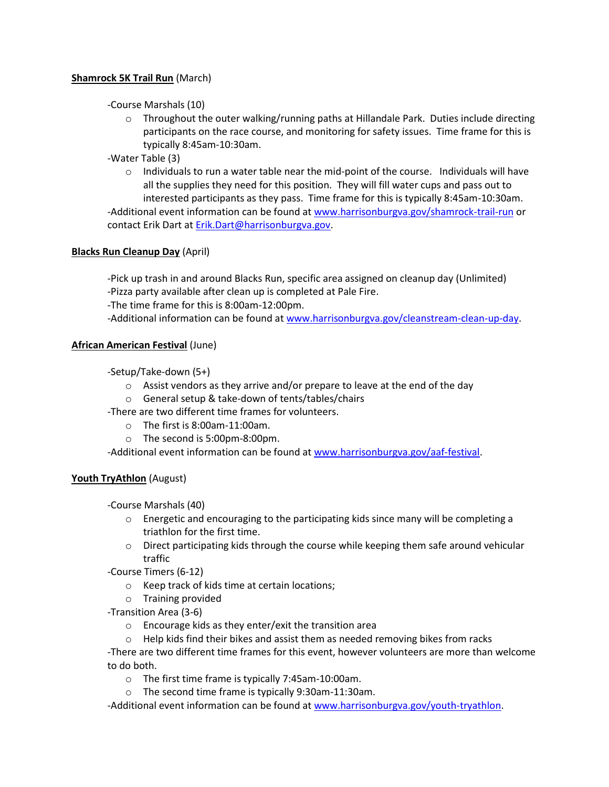## **Shamrock 5K Trail Run** (March)

-Course Marshals (10)

o Throughout the outer walking/running paths at Hillandale Park. Duties include directing participants on the race course, and monitoring for safety issues. Time frame for this is typically 8:45am-10:30am.

-Water Table (3)

 $\circ$  Individuals to run a water table near the mid-point of the course. Individuals will have all the supplies they need for this position. They will fill water cups and pass out to interested participants as they pass. Time frame for this is typically 8:45am-10:30am.

-Additional event information can be found a[t www.harrisonburgva.gov/shamrock-trail-run](http://www.harrisonburgva.gov/shamrock-trail-run) or contact Erik Dart a[t Erik.Dart@harrisonburgva.gov.](mailto:Erik.Dart@harrisonburgva.gov)

# **Blacks Run Cleanup Day** (April)

-Pick up trash in and around Blacks Run, specific area assigned on cleanup day (Unlimited) -Pizza party available after clean up is completed at Pale Fire.

-The time frame for this is 8:00am-12:00pm.

-Additional information can be found at [www.harrisonburgva.gov/cleanstream-clean-up-day.](http://www.harrisonburgva.gov/cleanstream-clean-up-day)

### **African American Festival** (June)

-Setup/Take-down (5+)

- $\circ$  Assist vendors as they arrive and/or prepare to leave at the end of the day
- o General setup & take-down of tents/tables/chairs
- -There are two different time frames for volunteers.
	- o The first is 8:00am-11:00am.
	- o The second is 5:00pm-8:00pm.

-Additional event information can be found a[t www.harrisonburgva.gov/aaf-festival.](http://www.harrisonburgva.gov/aaf-festival)

### **Youth TryAthlon** (August)

-Course Marshals (40)

- $\circ$  Energetic and encouraging to the participating kids since many will be completing a triathlon for the first time.
- $\circ$  Direct participating kids through the course while keeping them safe around vehicular traffic

-Course Timers (6-12)

- o Keep track of kids time at certain locations;
- o Training provided
- -Transition Area (3-6)
	- o Encourage kids as they enter/exit the transition area
	- o Help kids find their bikes and assist them as needed removing bikes from racks

-There are two different time frames for this event, however volunteers are more than welcome to do both.

- o The first time frame is typically 7:45am-10:00am.
- o The second time frame is typically 9:30am-11:30am.

-Additional event information can be found a[t www.harrisonburgva.gov/youth-tryathlon.](http://www.harrisonburgva.gov/youth-tryathlon)